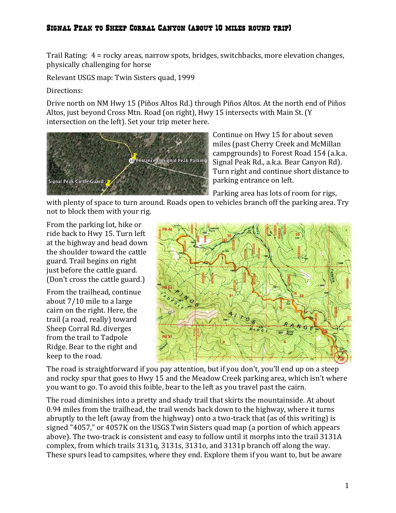## Signal Peak to Sheep Corral Canyon (about 10 miles round trip)

Trail Rating:  $4 =$  rocky areas, narrow spots, bridges, switchbacks, more elevation changes, physically challenging for horse

Relevant USGS map: Twin Sisters quad, 1999

Directions:

Drive north on NM Hwy 15 (Piños Altos Rd.) through Piños Altos. At the north end of Piños Altos, just beyond Cross Mtn. Road (on right), Hwy 15 intersects with Main St. (Y intersection on the left). Set your trip meter here.



Continue on Hwy 15 for about seven miles (past Cherry Creek and McMillan campgrounds) to Forest Road 154 (a.k.a. Signal Peak Rd., a.k.a. Bear Canyon Rd). Turn right and continue short distance to parking entrance on left.

Parking area has lots of room for rigs,

with plenty of space to turn around. Roads open to vehicles branch off the parking area. Try not to block them with your rig.

From the parking lot, hike or ride back to Hwy 15. Turn left at the highway and head down the shoulder toward the cattle guard. Trail begins on right just before the cattle guard. (Don't cross the cattle guard.)

From the trailhead, continue about  $7/10$  mile to a large cairn on the right. Here, the trail (a road, really) toward Sheep Corral Rd. diverges from the trail to Tadpole Ridge. Bear to the right and keep to the road.



The road is straightforward if you pay attention, but if you don't, you'll end up on a steep and rocky spur that goes to Hwy 15 and the Meadow Creek parking area, which isn't where you want to go. To avoid this foible, bear to the left as you travel past the cairn.

The road diminishes into a pretty and shady trail that skirts the mountainside. At about 0.94 miles from the trailhead, the trail wends back down to the highway, where it turns abruptly to the left (away from the highway) onto a two-track that (as of this writing) is signed "4057," or 4057K on the USGS Twin Sisters quad map (a portion of which appears above). The two-track is consistent and easy to follow until it morphs into the trail 3131A complex, from which trails 3131q, 3131s, 3131o, and 3131p branch off along the way. These spurs lead to campsites, where they end. Explore them if you want to, but be aware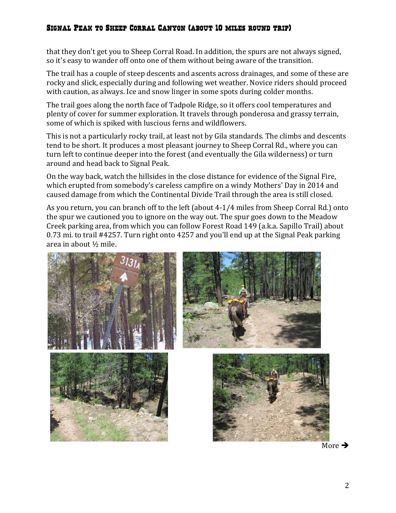## Signal Peak to Sheep Corral Canyon (about 10 miles round trip)

that they don't get you to Sheep Corral Road. In addition, the spurs are not always signed, so it's easy to wander off onto one of them without being aware of the transition.

The trail has a couple of steep descents and ascents across drainages, and some of these are rocky and slick, especially during and following wet weather. Novice riders should proceed with caution, as always. Ice and snow linger in some spots during colder months.

The trail goes along the north face of Tadpole Ridge, so it offers cool temperatures and plenty of cover for summer exploration. It travels through ponderosa and grassy terrain, some of which is spiked with luscious ferns and wildflowers.

This is not a particularly rocky trail, at least not by Gila standards. The climbs and descents tend to be short. It produces a most pleasant journey to Sheep Corral Rd., where you can turn left to continue deeper into the forest (and eventually the Gila wilderness) or turn around and head back to Signal Peak.

On the way back, watch the hillsides in the close distance for evidence of the Signal Fire, which erupted from somebody's careless campfire on a windy Mothers' Day in 2014 and caused damage from which the Continental Divide Trail through the area is still closed.

As you return, you can branch off to the left (about 4-1/4 miles from Sheep Corral Rd.) onto the spur we cautioned you to ignore on the way out. The spur goes down to the Meadow Creek parking area, from which you can follow Forest Road 149 (a.k.a. Sapillo Trail) about 0.73 mi. to trail #4257. Turn right onto 4257 and you'll end up at the Signal Peak parking area in about  $\frac{1}{2}$  mile.



More  $\rightarrow$